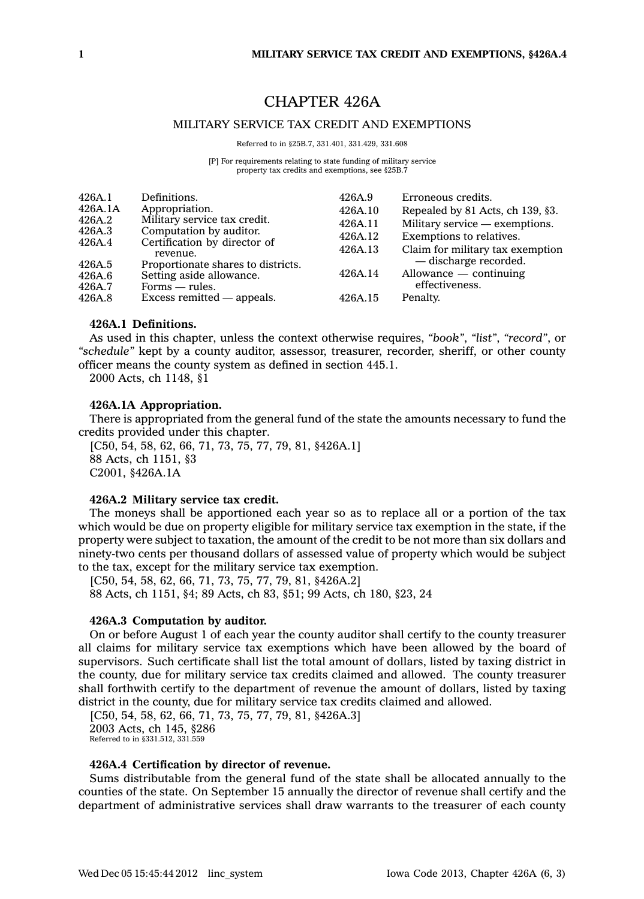# CHAPTER 426A

## MILITARY SERVICE TAX CREDIT AND EXEMPTIONS

Referred to in §25B.7, 331.401, 331.429, 331.608

[P] For requirements relating to state funding of military service property tax credits and exemptions, see §25B.7

| 426A.1           | Definitions.                             | 426A.9  | Erroneous credits.                                                        |
|------------------|------------------------------------------|---------|---------------------------------------------------------------------------|
| 426A.1A          | Appropriation.                           | 426A.10 | Repealed by 81 Acts, ch 139, §3.                                          |
| 426A.2           | Military service tax credit.             | 426A.11 | Military service — exemptions.                                            |
| 426A.3<br>426A.4 | Computation by auditor.                  | 426A.12 | Exemptions to relatives.                                                  |
|                  | Certification by director of<br>revenue. | 426A.13 | Claim for military tax exemption                                          |
| 426A.5           | Proportionate shares to districts.       |         |                                                                           |
| 426A.6           | Setting aside allowance.                 |         |                                                                           |
| 426A.7           | $Forms = rules.$                         |         |                                                                           |
| 426A.8           | Excess remitted — appeals.               | 426A.15 | Penalty.                                                                  |
|                  |                                          | 426A.14 | — discharge recorded.<br>$\Delta$ llowance — continuing<br>effectiveness. |

## **426A.1 Definitions.**

As used in this chapter, unless the context otherwise requires, *"book"*, *"list"*, *"record"*, or *"schedule"* kept by <sup>a</sup> county auditor, assessor, treasurer, recorder, sheriff, or other county officer means the county system as defined in section 445.1.

2000 Acts, ch 1148, §1

## **426A.1A Appropriation.**

There is appropriated from the general fund of the state the amounts necessary to fund the credits provided under this chapter.

[C50, 54, 58, 62, 66, 71, 73, 75, 77, 79, 81, §426A.1] 88 Acts, ch 1151, §3 C2001, §426A.1A

## **426A.2 Military service tax credit.**

The moneys shall be apportioned each year so as to replace all or <sup>a</sup> portion of the tax which would be due on property eligible for military service tax exemption in the state, if the property were subject to taxation, the amount of the credit to be not more than six dollars and ninety-two cents per thousand dollars of assessed value of property which would be subject to the tax, except for the military service tax exemption.

[C50, 54, 58, 62, 66, 71, 73, 75, 77, 79, 81, §426A.2] 88 Acts, ch 1151, §4; 89 Acts, ch 83, §51; 99 Acts, ch 180, §23, 24

#### **426A.3 Computation by auditor.**

On or before August 1 of each year the county auditor shall certify to the county treasurer all claims for military service tax exemptions which have been allowed by the board of supervisors. Such certificate shall list the total amount of dollars, listed by taxing district in the county, due for military service tax credits claimed and allowed. The county treasurer shall forthwith certify to the department of revenue the amount of dollars, listed by taxing district in the county, due for military service tax credits claimed and allowed.

[C50, 54, 58, 62, 66, 71, 73, 75, 77, 79, 81, §426A.3] 2003 Acts, ch 145, §286 Referred to in §331.512, 331.559

## **426A.4 Certification by director of revenue.**

Sums distributable from the general fund of the state shall be allocated annually to the counties of the state. On September 15 annually the director of revenue shall certify and the department of administrative services shall draw warrants to the treasurer of each county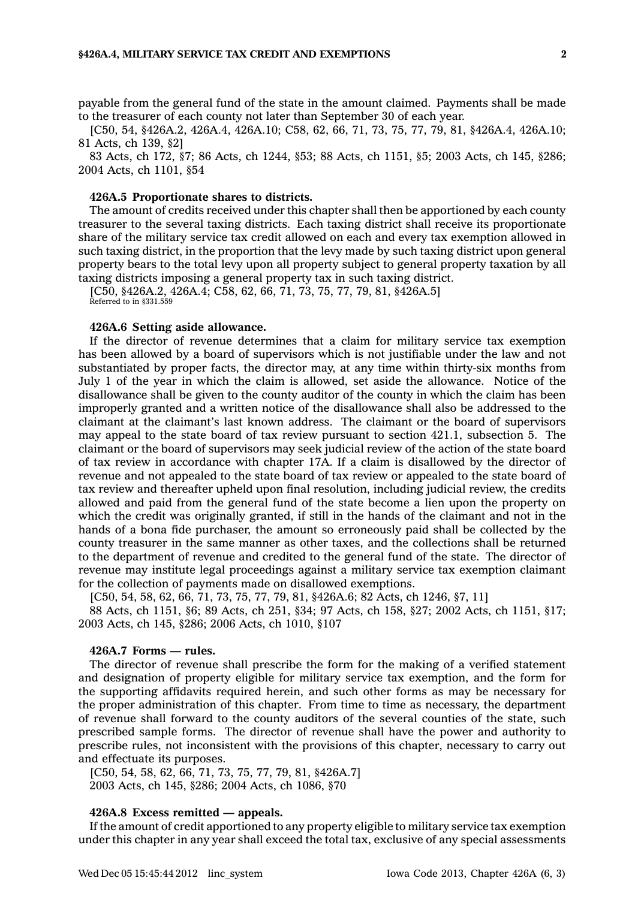payable from the general fund of the state in the amount claimed. Payments shall be made to the treasurer of each county not later than September 30 of each year.

[C50, 54, §426A.2, 426A.4, 426A.10; C58, 62, 66, 71, 73, 75, 77, 79, 81, §426A.4, 426A.10; 81 Acts, ch 139, §2]

83 Acts, ch 172, §7; 86 Acts, ch 1244, §53; 88 Acts, ch 1151, §5; 2003 Acts, ch 145, §286; 2004 Acts, ch 1101, §54

#### **426A.5 Proportionate shares to districts.**

The amount of credits received under this chapter shall then be apportioned by each county treasurer to the several taxing districts. Each taxing district shall receive its proportionate share of the military service tax credit allowed on each and every tax exemption allowed in such taxing district, in the proportion that the levy made by such taxing district upon general property bears to the total levy upon all property subject to general property taxation by all taxing districts imposing <sup>a</sup> general property tax in such taxing district.

[C50, §426A.2, 426A.4; C58, 62, 66, 71, 73, 75, 77, 79, 81, §426A.5] Referred to in §331.559

## **426A.6 Setting aside allowance.**

If the director of revenue determines that <sup>a</sup> claim for military service tax exemption has been allowed by <sup>a</sup> board of supervisors which is not justifiable under the law and not substantiated by proper facts, the director may, at any time within thirty-six months from July 1 of the year in which the claim is allowed, set aside the allowance. Notice of the disallowance shall be given to the county auditor of the county in which the claim has been improperly granted and <sup>a</sup> written notice of the disallowance shall also be addressed to the claimant at the claimant's last known address. The claimant or the board of supervisors may appeal to the state board of tax review pursuant to section 421.1, subsection 5. The claimant or the board of supervisors may seek judicial review of the action of the state board of tax review in accordance with chapter 17A. If <sup>a</sup> claim is disallowed by the director of revenue and not appealed to the state board of tax review or appealed to the state board of tax review and thereafter upheld upon final resolution, including judicial review, the credits allowed and paid from the general fund of the state become <sup>a</sup> lien upon the property on which the credit was originally granted, if still in the hands of the claimant and not in the hands of <sup>a</sup> bona fide purchaser, the amount so erroneously paid shall be collected by the county treasurer in the same manner as other taxes, and the collections shall be returned to the department of revenue and credited to the general fund of the state. The director of revenue may institute legal proceedings against <sup>a</sup> military service tax exemption claimant for the collection of payments made on disallowed exemptions.

[C50, 54, 58, 62, 66, 71, 73, 75, 77, 79, 81, §426A.6; 82 Acts, ch 1246, §7, 11]

88 Acts, ch 1151, §6; 89 Acts, ch 251, §34; 97 Acts, ch 158, §27; 2002 Acts, ch 1151, §17; 2003 Acts, ch 145, §286; 2006 Acts, ch 1010, §107

## **426A.7 Forms — rules.**

The director of revenue shall prescribe the form for the making of <sup>a</sup> verified statement and designation of property eligible for military service tax exemption, and the form for the supporting affidavits required herein, and such other forms as may be necessary for the proper administration of this chapter. From time to time as necessary, the department of revenue shall forward to the county auditors of the several counties of the state, such prescribed sample forms. The director of revenue shall have the power and authority to prescribe rules, not inconsistent with the provisions of this chapter, necessary to carry out and effectuate its purposes.

[C50, 54, 58, 62, 66, 71, 73, 75, 77, 79, 81, §426A.7] 2003 Acts, ch 145, §286; 2004 Acts, ch 1086, §70

## **426A.8 Excess remitted — appeals.**

If the amount of credit apportioned to any property eligible to military service tax exemption under this chapter in any year shall exceed the total tax, exclusive of any special assessments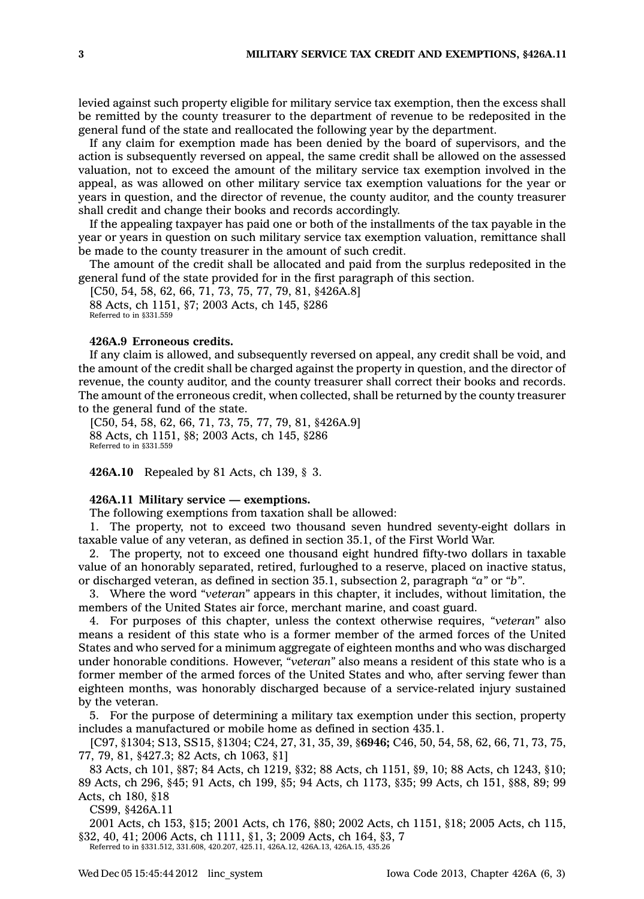levied against such property eligible for military service tax exemption, then the excess shall be remitted by the county treasurer to the department of revenue to be redeposited in the general fund of the state and reallocated the following year by the department.

If any claim for exemption made has been denied by the board of supervisors, and the action is subsequently reversed on appeal, the same credit shall be allowed on the assessed valuation, not to exceed the amount of the military service tax exemption involved in the appeal, as was allowed on other military service tax exemption valuations for the year or years in question, and the director of revenue, the county auditor, and the county treasurer shall credit and change their books and records accordingly.

If the appealing taxpayer has paid one or both of the installments of the tax payable in the year or years in question on such military service tax exemption valuation, remittance shall be made to the county treasurer in the amount of such credit.

The amount of the credit shall be allocated and paid from the surplus redeposited in the general fund of the state provided for in the first paragraph of this section.

[C50, 54, 58, 62, 66, 71, 73, 75, 77, 79, 81, §426A.8] 88 Acts, ch 1151, §7; 2003 Acts, ch 145, §286 Referred to in §331.559

#### **426A.9 Erroneous credits.**

If any claim is allowed, and subsequently reversed on appeal, any credit shall be void, and the amount of the credit shall be charged against the property in question, and the director of revenue, the county auditor, and the county treasurer shall correct their books and records. The amount of the erroneous credit, when collected, shall be returned by the county treasurer to the general fund of the state.

[C50, 54, 58, 62, 66, 71, 73, 75, 77, 79, 81, §426A.9] 88 Acts, ch 1151, §8; 2003 Acts, ch 145, §286 Referred to in §331.559

**426A.10** Repealed by 81 Acts, ch 139, § 3.

## **426A.11 Military service — exemptions.**

The following exemptions from taxation shall be allowed:

1. The property, not to exceed two thousand seven hundred seventy-eight dollars in taxable value of any veteran, as defined in section 35.1, of the First World War.

2. The property, not to exceed one thousand eight hundred fifty-two dollars in taxable value of an honorably separated, retired, furloughed to <sup>a</sup> reserve, placed on inactive status, or discharged veteran, as defined in section 35.1, subsection 2, paragraph *"a"* or *"b"*.

3. Where the word *"veteran"* appears in this chapter, it includes, without limitation, the members of the United States air force, merchant marine, and coast guard.

4. For purposes of this chapter, unless the context otherwise requires, *"veteran"* also means <sup>a</sup> resident of this state who is <sup>a</sup> former member of the armed forces of the United States and who served for <sup>a</sup> minimum aggregate of eighteen months and who was discharged under honorable conditions. However, *"veteran"* also means <sup>a</sup> resident of this state who is <sup>a</sup> former member of the armed forces of the United States and who, after serving fewer than eighteen months, was honorably discharged because of <sup>a</sup> service-related injury sustained by the veteran.

5. For the purpose of determining <sup>a</sup> military tax exemption under this section, property includes <sup>a</sup> manufactured or mobile home as defined in section 435.1.

[C97, §1304; S13, SS15, §1304; C24, 27, 31, 35, 39, §**6946;** C46, 50, 54, 58, 62, 66, 71, 73, 75, 77, 79, 81, §427.3; 82 Acts, ch 1063, §1]

83 Acts, ch 101, §87; 84 Acts, ch 1219, §32; 88 Acts, ch 1151, §9, 10; 88 Acts, ch 1243, §10; 89 Acts, ch 296, §45; 91 Acts, ch 199, §5; 94 Acts, ch 1173, §35; 99 Acts, ch 151, §88, 89; 99 Acts, ch 180, §18

CS99, §426A.11

2001 Acts, ch 153, §15; 2001 Acts, ch 176, §80; 2002 Acts, ch 1151, §18; 2005 Acts, ch 115, §32, 40, 41; 2006 Acts, ch 1111, §1, 3; 2009 Acts, ch 164, §3, 7

Referred to in §331.512, 331.608, 420.207, 425.11, 426A.12, 426A.13, 426A.15, 435.26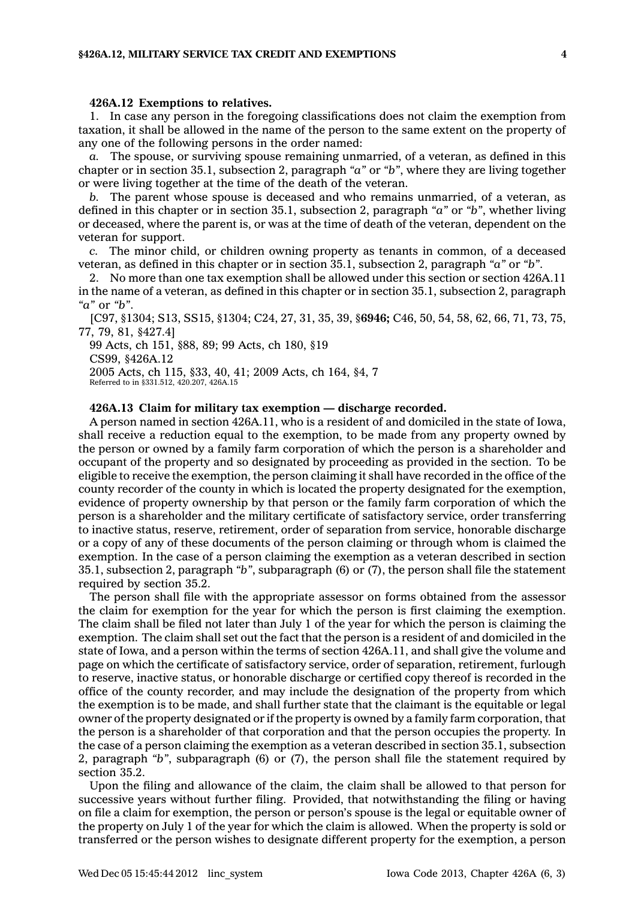#### **426A.12 Exemptions to relatives.**

1. In case any person in the foregoing classifications does not claim the exemption from taxation, it shall be allowed in the name of the person to the same extent on the property of any one of the following persons in the order named:

*a.* The spouse, or surviving spouse remaining unmarried, of <sup>a</sup> veteran, as defined in this chapter or in section 35.1, subsection 2, paragraph *"a"* or *"b"*, where they are living together or were living together at the time of the death of the veteran.

*b.* The parent whose spouse is deceased and who remains unmarried, of <sup>a</sup> veteran, as defined in this chapter or in section 35.1, subsection 2, paragraph *"a"* or *"b"*, whether living or deceased, where the parent is, or was at the time of death of the veteran, dependent on the veteran for support.

*c.* The minor child, or children owning property as tenants in common, of <sup>a</sup> deceased veteran, as defined in this chapter or in section 35.1, subsection 2, paragraph *"a"* or *"b"*.

2. No more than one tax exemption shall be allowed under this section or section 426A.11 in the name of <sup>a</sup> veteran, as defined in this chapter or in section 35.1, subsection 2, paragraph *"a"* or *"b"*.

[C97, §1304; S13, SS15, §1304; C24, 27, 31, 35, 39, §**6946;** C46, 50, 54, 58, 62, 66, 71, 73, 75, 77, 79, 81, §427.4]

99 Acts, ch 151, §88, 89; 99 Acts, ch 180, §19

CS99, §426A.12

2005 Acts, ch 115, §33, 40, 41; 2009 Acts, ch 164, §4, 7

Referred to in §331.512, 420.207, 426A.15

#### **426A.13 Claim for military tax exemption — discharge recorded.**

A person named in section 426A.11, who is <sup>a</sup> resident of and domiciled in the state of Iowa, shall receive <sup>a</sup> reduction equal to the exemption, to be made from any property owned by the person or owned by <sup>a</sup> family farm corporation of which the person is <sup>a</sup> shareholder and occupant of the property and so designated by proceeding as provided in the section. To be eligible to receive the exemption, the person claiming it shall have recorded in the office of the county recorder of the county in which is located the property designated for the exemption, evidence of property ownership by that person or the family farm corporation of which the person is <sup>a</sup> shareholder and the military certificate of satisfactory service, order transferring to inactive status, reserve, retirement, order of separation from service, honorable discharge or <sup>a</sup> copy of any of these documents of the person claiming or through whom is claimed the exemption. In the case of <sup>a</sup> person claiming the exemption as <sup>a</sup> veteran described in section 35.1, subsection 2, paragraph *"b"*, subparagraph (6) or (7), the person shall file the statement required by section 35.2.

The person shall file with the appropriate assessor on forms obtained from the assessor the claim for exemption for the year for which the person is first claiming the exemption. The claim shall be filed not later than July 1 of the year for which the person is claiming the exemption. The claim shall set out the fact that the person is <sup>a</sup> resident of and domiciled in the state of Iowa, and <sup>a</sup> person within the terms of section 426A.11, and shall give the volume and page on which the certificate of satisfactory service, order of separation, retirement, furlough to reserve, inactive status, or honorable discharge or certified copy thereof is recorded in the office of the county recorder, and may include the designation of the property from which the exemption is to be made, and shall further state that the claimant is the equitable or legal owner of the property designated or if the property is owned by <sup>a</sup> family farm corporation, that the person is <sup>a</sup> shareholder of that corporation and that the person occupies the property. In the case of <sup>a</sup> person claiming the exemption as <sup>a</sup> veteran described in section 35.1, subsection 2, paragraph *"b"*, subparagraph (6) or (7), the person shall file the statement required by section 35.2.

Upon the filing and allowance of the claim, the claim shall be allowed to that person for successive years without further filing. Provided, that notwithstanding the filing or having on file <sup>a</sup> claim for exemption, the person or person's spouse is the legal or equitable owner of the property on July 1 of the year for which the claim is allowed. When the property is sold or transferred or the person wishes to designate different property for the exemption, <sup>a</sup> person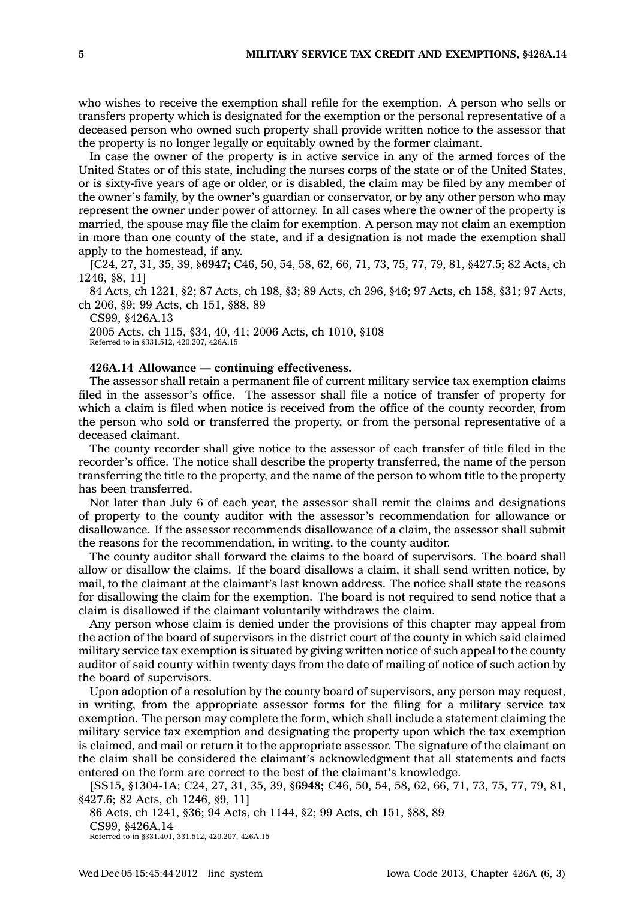who wishes to receive the exemption shall refile for the exemption. A person who sells or transfers property which is designated for the exemption or the personal representative of <sup>a</sup> deceased person who owned such property shall provide written notice to the assessor that the property is no longer legally or equitably owned by the former claimant.

In case the owner of the property is in active service in any of the armed forces of the United States or of this state, including the nurses corps of the state or of the United States, or is sixty-five years of age or older, or is disabled, the claim may be filed by any member of the owner's family, by the owner's guardian or conservator, or by any other person who may represent the owner under power of attorney. In all cases where the owner of the property is married, the spouse may file the claim for exemption. A person may not claim an exemption in more than one county of the state, and if <sup>a</sup> designation is not made the exemption shall apply to the homestead, if any.

[C24, 27, 31, 35, 39, §**6947;** C46, 50, 54, 58, 62, 66, 71, 73, 75, 77, 79, 81, §427.5; 82 Acts, ch 1246, §8, 11]

84 Acts, ch 1221, §2; 87 Acts, ch 198, §3; 89 Acts, ch 296, §46; 97 Acts, ch 158, §31; 97 Acts, ch 206, §9; 99 Acts, ch 151, §88, 89

CS99, §426A.13 2005 Acts, ch 115, §34, 40, 41; 2006 Acts, ch 1010, §108 Referred to in §331.512, 420.207, 426A.15

#### **426A.14 Allowance — continuing effectiveness.**

The assessor shall retain <sup>a</sup> permanent file of current military service tax exemption claims filed in the assessor's office. The assessor shall file <sup>a</sup> notice of transfer of property for which <sup>a</sup> claim is filed when notice is received from the office of the county recorder, from the person who sold or transferred the property, or from the personal representative of <sup>a</sup> deceased claimant.

The county recorder shall give notice to the assessor of each transfer of title filed in the recorder's office. The notice shall describe the property transferred, the name of the person transferring the title to the property, and the name of the person to whom title to the property has been transferred.

Not later than July 6 of each year, the assessor shall remit the claims and designations of property to the county auditor with the assessor's recommendation for allowance or disallowance. If the assessor recommends disallowance of <sup>a</sup> claim, the assessor shall submit the reasons for the recommendation, in writing, to the county auditor.

The county auditor shall forward the claims to the board of supervisors. The board shall allow or disallow the claims. If the board disallows <sup>a</sup> claim, it shall send written notice, by mail, to the claimant at the claimant's last known address. The notice shall state the reasons for disallowing the claim for the exemption. The board is not required to send notice that <sup>a</sup> claim is disallowed if the claimant voluntarily withdraws the claim.

Any person whose claim is denied under the provisions of this chapter may appeal from the action of the board of supervisors in the district court of the county in which said claimed military service tax exemption is situated by giving written notice of such appeal to the county auditor of said county within twenty days from the date of mailing of notice of such action by the board of supervisors.

Upon adoption of <sup>a</sup> resolution by the county board of supervisors, any person may request, in writing, from the appropriate assessor forms for the filing for <sup>a</sup> military service tax exemption. The person may complete the form, which shall include <sup>a</sup> statement claiming the military service tax exemption and designating the property upon which the tax exemption is claimed, and mail or return it to the appropriate assessor. The signature of the claimant on the claim shall be considered the claimant's acknowledgment that all statements and facts entered on the form are correct to the best of the claimant's knowledge.

[SS15, §1304-1A; C24, 27, 31, 35, 39, §**6948;** C46, 50, 54, 58, 62, 66, 71, 73, 75, 77, 79, 81, §427.6; 82 Acts, ch 1246, §9, 11]

86 Acts, ch 1241, §36; 94 Acts, ch 1144, §2; 99 Acts, ch 151, §88, 89 CS99, §426A.14 Referred to in §331.401, 331.512, 420.207, 426A.15